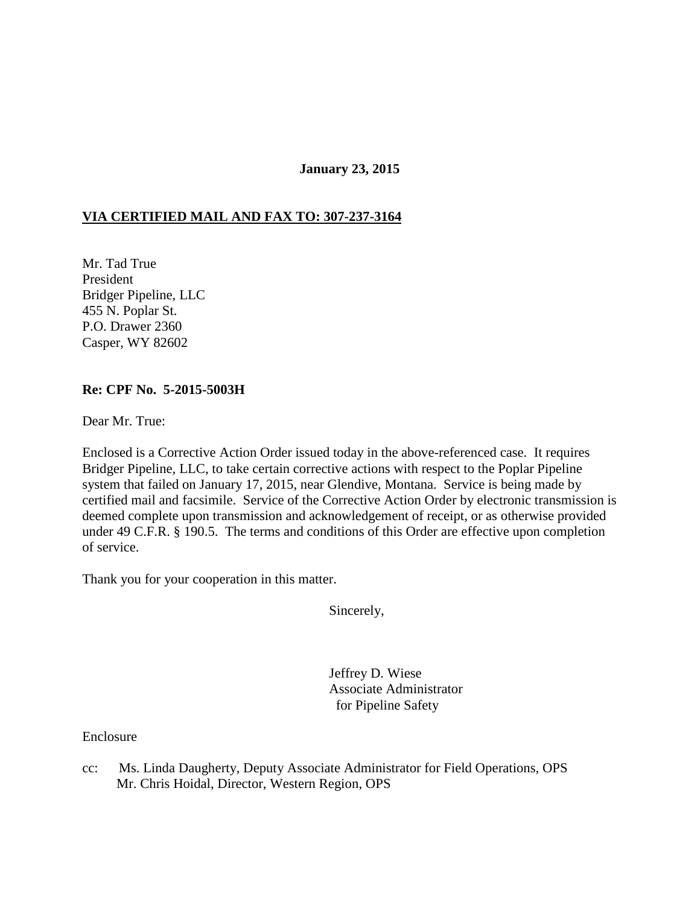#### **January 23, 2015**

### **VIA CERTIFIED MAIL AND FAX TO: 307-237-3164**

Mr. Tad True President Bridger Pipeline, LLC 455 N. Poplar St. P.O. Drawer 2360 Casper, WY 82602

#### **Re: CPF No. 5-2015-5003H**

Dear Mr. True:

Enclosed is a Corrective Action Order issued today in the above-referenced case. It requires Bridger Pipeline, LLC, to take certain corrective actions with respect to the Poplar Pipeline system that failed on January 17, 2015, near Glendive, Montana. Service is being made by certified mail and facsimile. Service of the Corrective Action Order by electronic transmission is deemed complete upon transmission and acknowledgement of receipt, or as otherwise provided under 49 C.F.R. § 190.5. The terms and conditions of this Order are effective upon completion of service.

Thank you for your cooperation in this matter.

Sincerely,

 Jeffrey D. Wiese Associate Administrator for Pipeline Safety

Enclosure

cc: Ms. Linda Daugherty, Deputy Associate Administrator for Field Operations, OPS Mr. Chris Hoidal, Director, Western Region, OPS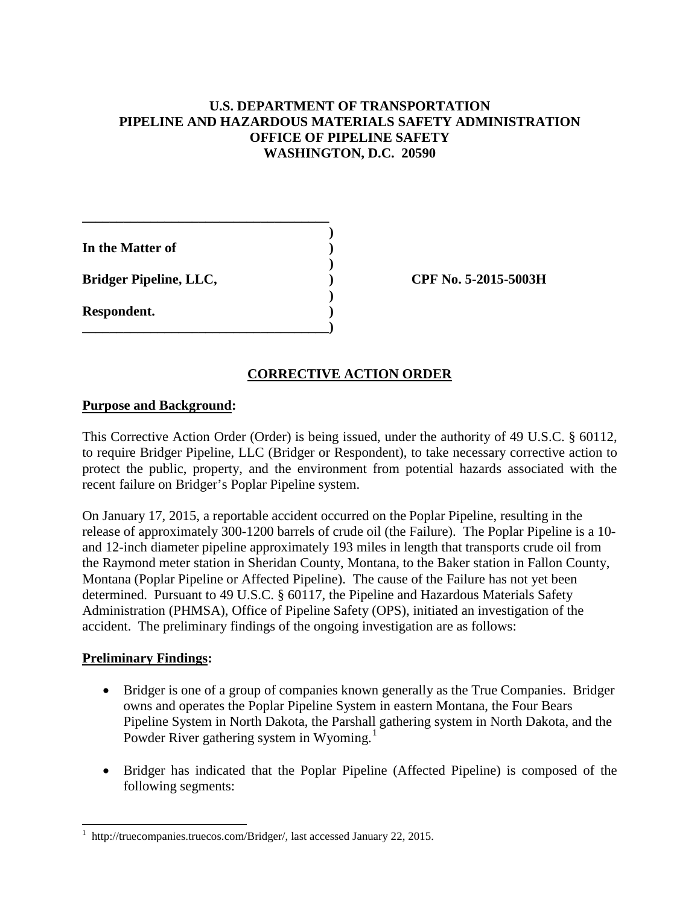## **U.S. DEPARTMENT OF TRANSPORTATION PIPELINE AND HAZARDOUS MATERIALS SAFETY ADMINISTRATION OFFICE OF PIPELINE SAFETY WASHINGTON, D.C. 20590**

**)** 

**In the Matter of )** 

**Bridger Pipeline, LLC, ) CPF No. 5-2015-5003H** 

**\_\_\_\_\_\_\_\_\_\_\_\_\_\_\_\_\_\_\_\_\_\_\_\_\_\_\_\_\_\_\_\_\_\_\_\_** 

 **)** 

**\_\_\_\_\_\_\_\_\_\_\_\_\_\_\_\_\_\_\_\_\_\_\_\_\_\_\_\_\_\_\_\_\_\_\_\_)** 

 **) Respondent. )** 

# **CORRECTIVE ACTION ORDER**

### **Purpose and Background:**

This Corrective Action Order (Order) is being issued, under the authority of 49 U.S.C. § 60112, to require Bridger Pipeline, LLC (Bridger or Respondent), to take necessary corrective action to protect the public, property, and the environment from potential hazards associated with the recent failure on Bridger's Poplar Pipeline system.

On January 17, 2015, a reportable accident occurred on the Poplar Pipeline, resulting in the release of approximately 300-1200 barrels of crude oil (the Failure). The Poplar Pipeline is a 10 and 12-inch diameter pipeline approximately 193 miles in length that transports crude oil from the Raymond meter station in Sheridan County, Montana, to the Baker station in Fallon County, Montana (Poplar Pipeline or Affected Pipeline). The cause of the Failure has not yet been determined. Pursuant to 49 U.S.C. § 60117, the Pipeline and Hazardous Materials Safety Administration (PHMSA), Office of Pipeline Safety (OPS), initiated an investigation of the accident. The preliminary findings of the ongoing investigation are as follows:

## **Preliminary Findings:**

 $\overline{a}$ 

- Bridger is one of a group of companies known generally as the True Companies. Bridger owns and operates the Poplar Pipeline System in eastern Montana, the Four Bears Pipeline System in North Dakota, the Parshall gathering system in North Dakota, and the Powder River gathering system in Wyoming.<sup>1</sup>
- Bridger has indicated that the Poplar Pipeline (Affected Pipeline) is composed of the following segments:

<sup>1</sup> http://truecompanies.truecos.com/Bridger/, last accessed January 22, 2015.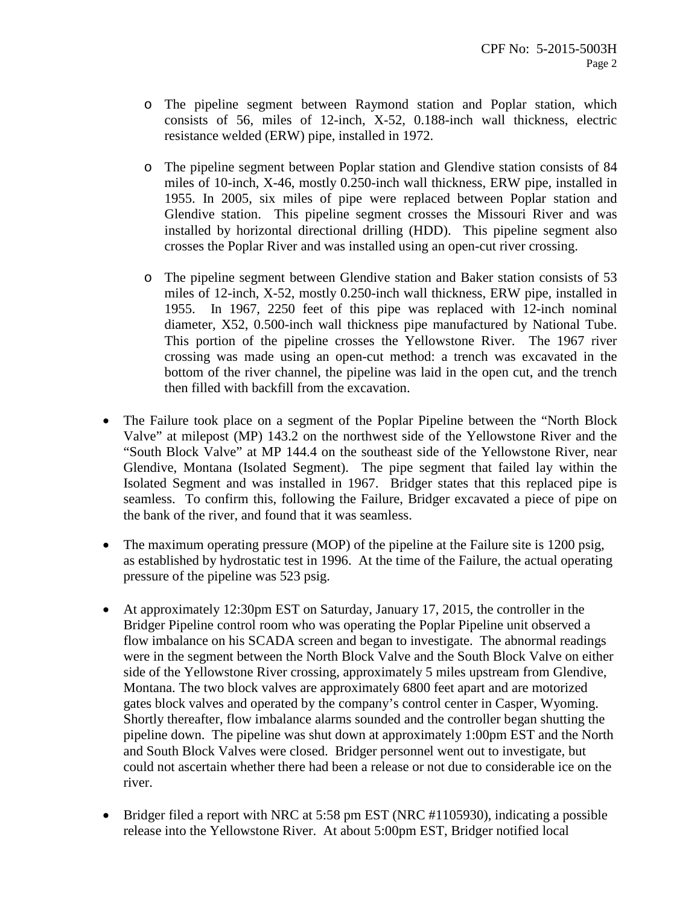- o The pipeline segment between Raymond station and Poplar station, which consists of 56, miles of 12-inch, X-52, 0.188-inch wall thickness, electric resistance welded (ERW) pipe, installed in 1972.
- o The pipeline segment between Poplar station and Glendive station consists of 84 miles of 10-inch, X-46, mostly 0.250-inch wall thickness, ERW pipe, installed in 1955. In 2005, six miles of pipe were replaced between Poplar station and Glendive station. This pipeline segment crosses the Missouri River and was installed by horizontal directional drilling (HDD). This pipeline segment also crosses the Poplar River and was installed using an open-cut river crossing.
- o The pipeline segment between Glendive station and Baker station consists of 53 miles of 12-inch, X-52, mostly 0.250-inch wall thickness, ERW pipe, installed in 1955. In 1967, 2250 feet of this pipe was replaced with 12-inch nominal diameter, X52, 0.500-inch wall thickness pipe manufactured by National Tube. This portion of the pipeline crosses the Yellowstone River. The 1967 river crossing was made using an open-cut method: a trench was excavated in the bottom of the river channel, the pipeline was laid in the open cut, and the trench then filled with backfill from the excavation.
- The Failure took place on a segment of the Poplar Pipeline between the "North Block Valve" at milepost (MP) 143.2 on the northwest side of the Yellowstone River and the "South Block Valve" at MP 144.4 on the southeast side of the Yellowstone River, near Glendive, Montana (Isolated Segment). The pipe segment that failed lay within the Isolated Segment and was installed in 1967. Bridger states that this replaced pipe is seamless. To confirm this, following the Failure, Bridger excavated a piece of pipe on the bank of the river, and found that it was seamless.
- The maximum operating pressure (MOP) of the pipeline at the Failure site is 1200 psig, as established by hydrostatic test in 1996. At the time of the Failure, the actual operating pressure of the pipeline was 523 psig.
- At approximately 12:30pm EST on Saturday, January 17, 2015, the controller in the Bridger Pipeline control room who was operating the Poplar Pipeline unit observed a flow imbalance on his SCADA screen and began to investigate. The abnormal readings were in the segment between the North Block Valve and the South Block Valve on either side of the Yellowstone River crossing, approximately 5 miles upstream from Glendive, Montana. The two block valves are approximately 6800 feet apart and are motorized gates block valves and operated by the company's control center in Casper, Wyoming. Shortly thereafter, flow imbalance alarms sounded and the controller began shutting the pipeline down. The pipeline was shut down at approximately 1:00pm EST and the North and South Block Valves were closed. Bridger personnel went out to investigate, but could not ascertain whether there had been a release or not due to considerable ice on the river.
- Bridger filed a report with NRC at 5:58 pm EST (NRC #1105930), indicating a possible release into the Yellowstone River. At about 5:00pm EST, Bridger notified local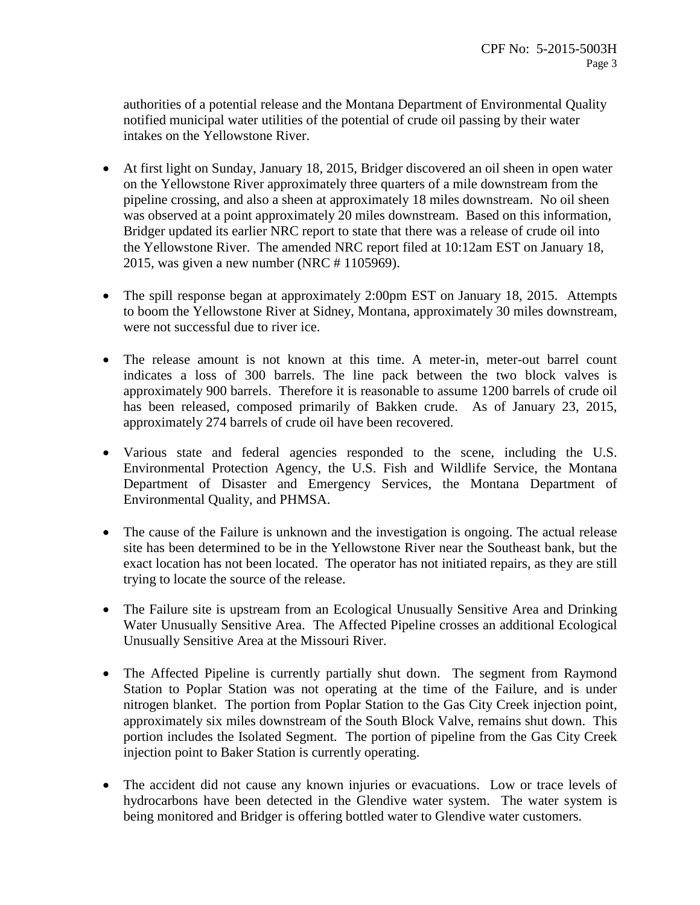authorities of a potential release and the Montana Department of Environmental Quality notified municipal water utilities of the potential of crude oil passing by their water intakes on the Yellowstone River.

- At first light on Sunday, January 18, 2015, Bridger discovered an oil sheen in open water on the Yellowstone River approximately three quarters of a mile downstream from the pipeline crossing, and also a sheen at approximately 18 miles downstream. No oil sheen was observed at a point approximately 20 miles downstream. Based on this information, Bridger updated its earlier NRC report to state that there was a release of crude oil into the Yellowstone River. The amended NRC report filed at 10:12am EST on January 18, 2015, was given a new number (NRC # 1105969).
- The spill response began at approximately 2:00pm EST on January 18, 2015. Attempts to boom the Yellowstone River at Sidney, Montana, approximately 30 miles downstream, were not successful due to river ice.
- The release amount is not known at this time. A meter-in, meter-out barrel count indicates a loss of 300 barrels. The line pack between the two block valves is approximately 900 barrels. Therefore it is reasonable to assume 1200 barrels of crude oil has been released, composed primarily of Bakken crude. As of January 23, 2015, approximately 274 barrels of crude oil have been recovered.
- Various state and federal agencies responded to the scene, including the U.S. Environmental Protection Agency, the U.S. Fish and Wildlife Service, the Montana Department of Disaster and Emergency Services, the Montana Department of Environmental Quality, and PHMSA.
- The cause of the Failure is unknown and the investigation is ongoing. The actual release site has been determined to be in the Yellowstone River near the Southeast bank, but the exact location has not been located. The operator has not initiated repairs, as they are still trying to locate the source of the release.
- The Failure site is upstream from an Ecological Unusually Sensitive Area and Drinking Water Unusually Sensitive Area. The Affected Pipeline crosses an additional Ecological Unusually Sensitive Area at the Missouri River.
- The Affected Pipeline is currently partially shut down. The segment from Raymond Station to Poplar Station was not operating at the time of the Failure, and is under nitrogen blanket. The portion from Poplar Station to the Gas City Creek injection point, approximately six miles downstream of the South Block Valve, remains shut down. This portion includes the Isolated Segment. The portion of pipeline from the Gas City Creek injection point to Baker Station is currently operating.
- The accident did not cause any known injuries or evacuations. Low or trace levels of hydrocarbons have been detected in the Glendive water system. The water system is being monitored and Bridger is offering bottled water to Glendive water customers.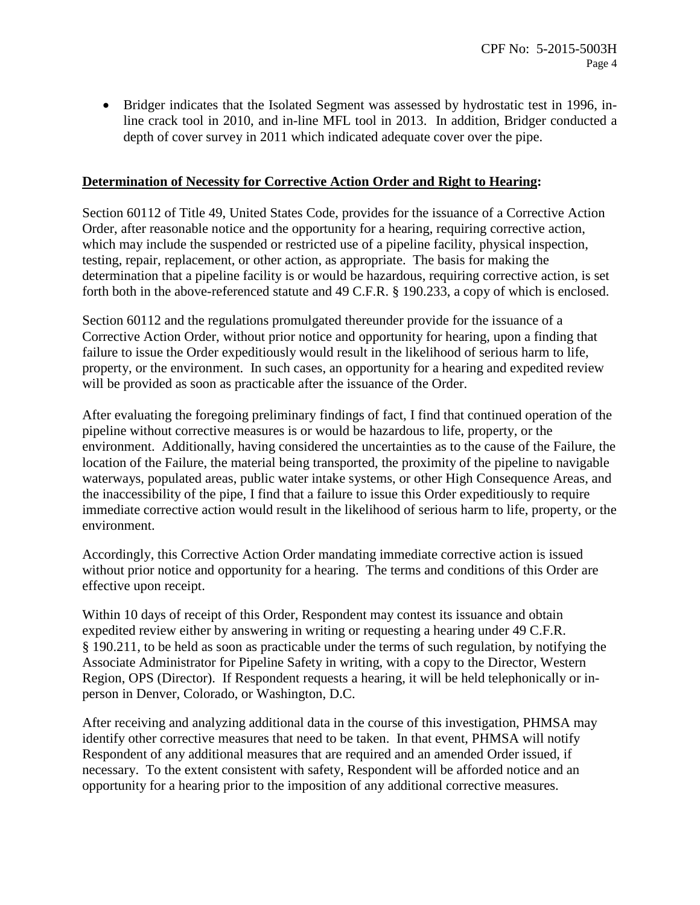• Bridger indicates that the Isolated Segment was assessed by hydrostatic test in 1996, inline crack tool in 2010, and in-line MFL tool in 2013. In addition, Bridger conducted a depth of cover survey in 2011 which indicated adequate cover over the pipe.

## **Determination of Necessity for Corrective Action Order and Right to Hearing:**

Section 60112 of Title 49, United States Code, provides for the issuance of a Corrective Action Order, after reasonable notice and the opportunity for a hearing, requiring corrective action, which may include the suspended or restricted use of a pipeline facility, physical inspection, testing, repair, replacement, or other action, as appropriate. The basis for making the determination that a pipeline facility is or would be hazardous, requiring corrective action, is set forth both in the above-referenced statute and 49 C.F.R. § 190.233, a copy of which is enclosed.

Section 60112 and the regulations promulgated thereunder provide for the issuance of a Corrective Action Order, without prior notice and opportunity for hearing, upon a finding that failure to issue the Order expeditiously would result in the likelihood of serious harm to life, property, or the environment. In such cases, an opportunity for a hearing and expedited review will be provided as soon as practicable after the issuance of the Order.

After evaluating the foregoing preliminary findings of fact, I find that continued operation of the pipeline without corrective measures is or would be hazardous to life, property, or the environment. Additionally, having considered the uncertainties as to the cause of the Failure, the location of the Failure, the material being transported, the proximity of the pipeline to navigable waterways, populated areas, public water intake systems, or other High Consequence Areas, and the inaccessibility of the pipe, I find that a failure to issue this Order expeditiously to require immediate corrective action would result in the likelihood of serious harm to life, property, or the environment.

Accordingly, this Corrective Action Order mandating immediate corrective action is issued without prior notice and opportunity for a hearing. The terms and conditions of this Order are effective upon receipt.

Within 10 days of receipt of this Order, Respondent may contest its issuance and obtain expedited review either by answering in writing or requesting a hearing under 49 C.F.R. § 190.211, to be held as soon as practicable under the terms of such regulation, by notifying the Associate Administrator for Pipeline Safety in writing, with a copy to the Director, Western Region, OPS (Director). If Respondent requests a hearing, it will be held telephonically or inperson in Denver, Colorado, or Washington, D.C.

After receiving and analyzing additional data in the course of this investigation, PHMSA may identify other corrective measures that need to be taken. In that event, PHMSA will notify Respondent of any additional measures that are required and an amended Order issued, if necessary. To the extent consistent with safety, Respondent will be afforded notice and an opportunity for a hearing prior to the imposition of any additional corrective measures.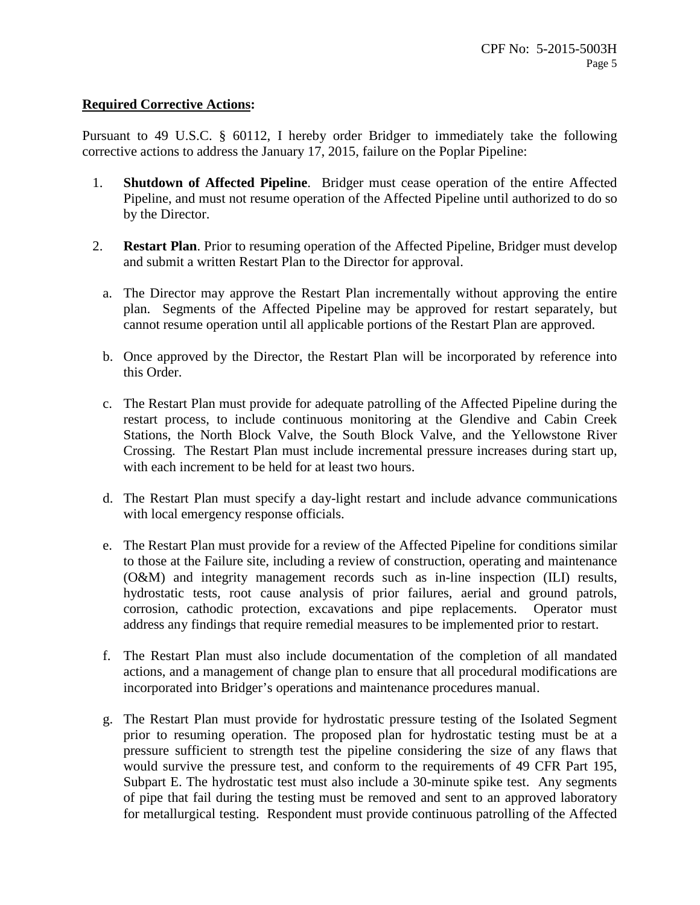### **Required Corrective Actions:**

Pursuant to 49 U.S.C. § 60112, I hereby order Bridger to immediately take the following corrective actions to address the January 17, 2015, failure on the Poplar Pipeline:

- 1. **Shutdown of Affected Pipeline**. Bridger must cease operation of the entire Affected Pipeline, and must not resume operation of the Affected Pipeline until authorized to do so by the Director.
- 2. **Restart Plan**. Prior to resuming operation of the Affected Pipeline, Bridger must develop and submit a written Restart Plan to the Director for approval.
	- a. The Director may approve the Restart Plan incrementally without approving the entire plan. Segments of the Affected Pipeline may be approved for restart separately, but cannot resume operation until all applicable portions of the Restart Plan are approved.
	- b. Once approved by the Director, the Restart Plan will be incorporated by reference into this Order.
	- c. The Restart Plan must provide for adequate patrolling of the Affected Pipeline during the restart process, to include continuous monitoring at the Glendive and Cabin Creek Stations, the North Block Valve, the South Block Valve, and the Yellowstone River Crossing. The Restart Plan must include incremental pressure increases during start up, with each increment to be held for at least two hours.
	- d. The Restart Plan must specify a day-light restart and include advance communications with local emergency response officials.
	- e. The Restart Plan must provide for a review of the Affected Pipeline for conditions similar to those at the Failure site, including a review of construction, operating and maintenance (O&M) and integrity management records such as in-line inspection (ILI) results, hydrostatic tests, root cause analysis of prior failures, aerial and ground patrols, corrosion, cathodic protection, excavations and pipe replacements. Operator must address any findings that require remedial measures to be implemented prior to restart.
	- f. The Restart Plan must also include documentation of the completion of all mandated actions, and a management of change plan to ensure that all procedural modifications are incorporated into Bridger's operations and maintenance procedures manual.
	- g. The Restart Plan must provide for hydrostatic pressure testing of the Isolated Segment prior to resuming operation. The proposed plan for hydrostatic testing must be at a pressure sufficient to strength test the pipeline considering the size of any flaws that would survive the pressure test, and conform to the requirements of 49 CFR Part 195, Subpart E. The hydrostatic test must also include a 30-minute spike test. Any segments of pipe that fail during the testing must be removed and sent to an approved laboratory for metallurgical testing. Respondent must provide continuous patrolling of the Affected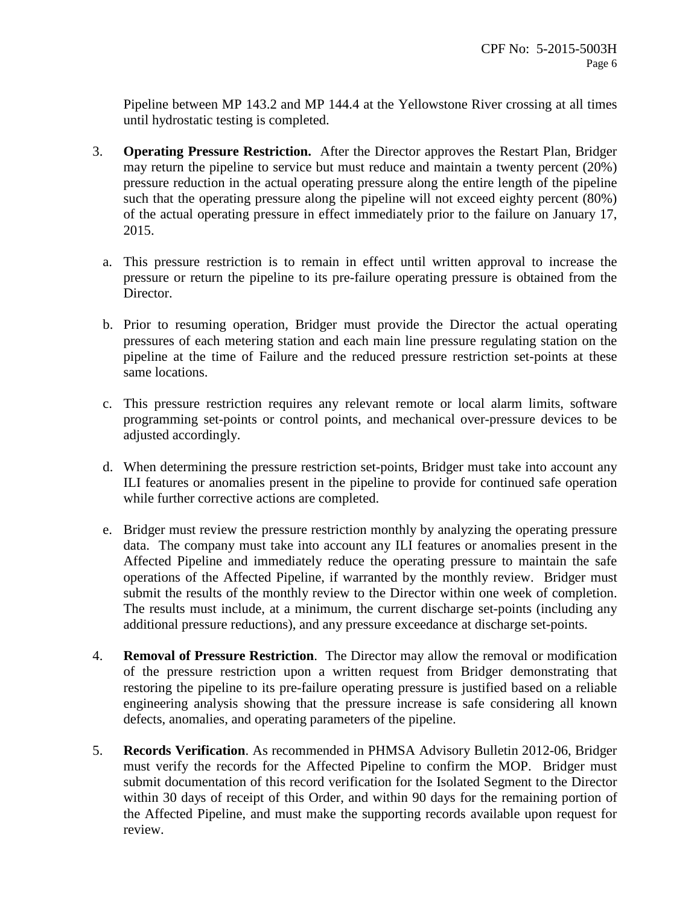Pipeline between MP 143.2 and MP 144.4 at the Yellowstone River crossing at all times until hydrostatic testing is completed.

- 3. **Operating Pressure Restriction.** After the Director approves the Restart Plan, Bridger may return the pipeline to service but must reduce and maintain a twenty percent (20%) pressure reduction in the actual operating pressure along the entire length of the pipeline such that the operating pressure along the pipeline will not exceed eighty percent (80%) of the actual operating pressure in effect immediately prior to the failure on January 17, 2015.
	- a. This pressure restriction is to remain in effect until written approval to increase the pressure or return the pipeline to its pre-failure operating pressure is obtained from the Director.
	- b. Prior to resuming operation, Bridger must provide the Director the actual operating pressures of each metering station and each main line pressure regulating station on the pipeline at the time of Failure and the reduced pressure restriction set-points at these same locations.
	- c. This pressure restriction requires any relevant remote or local alarm limits, software programming set-points or control points, and mechanical over-pressure devices to be adjusted accordingly.
	- d. When determining the pressure restriction set-points, Bridger must take into account any ILI features or anomalies present in the pipeline to provide for continued safe operation while further corrective actions are completed.
	- e. Bridger must review the pressure restriction monthly by analyzing the operating pressure data. The company must take into account any ILI features or anomalies present in the Affected Pipeline and immediately reduce the operating pressure to maintain the safe operations of the Affected Pipeline, if warranted by the monthly review. Bridger must submit the results of the monthly review to the Director within one week of completion. The results must include, at a minimum, the current discharge set-points (including any additional pressure reductions), and any pressure exceedance at discharge set-points.
- 4. **Removal of Pressure Restriction**. The Director may allow the removal or modification of the pressure restriction upon a written request from Bridger demonstrating that restoring the pipeline to its pre-failure operating pressure is justified based on a reliable engineering analysis showing that the pressure increase is safe considering all known defects, anomalies, and operating parameters of the pipeline.
- 5. **Records Verification**. As recommended in PHMSA Advisory Bulletin 2012-06, Bridger must verify the records for the Affected Pipeline to confirm the MOP. Bridger must submit documentation of this record verification for the Isolated Segment to the Director within 30 days of receipt of this Order, and within 90 days for the remaining portion of the Affected Pipeline, and must make the supporting records available upon request for review.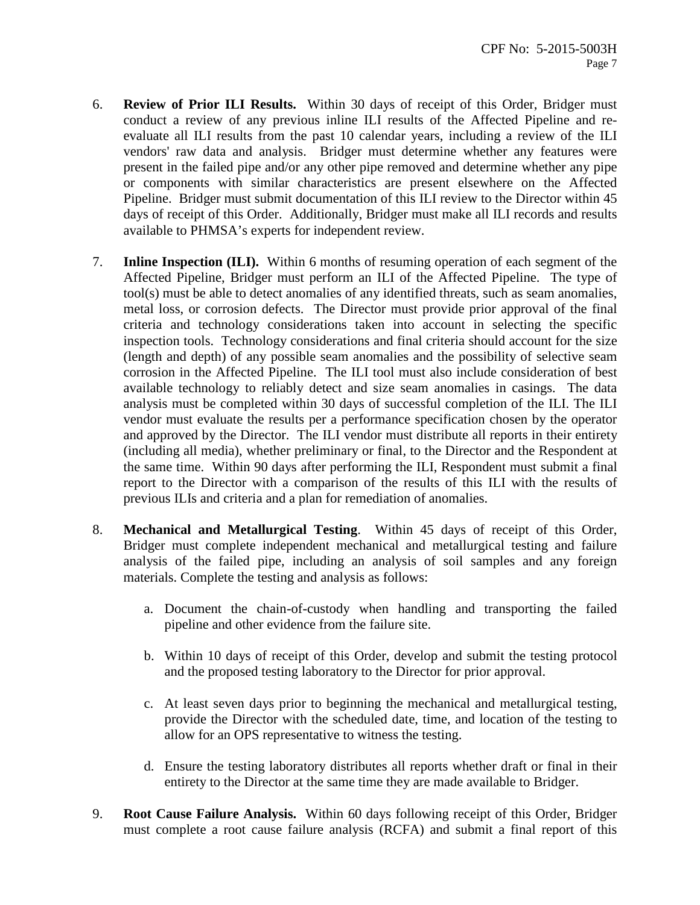- 6. **Review of Prior ILI Results.** Within 30 days of receipt of this Order, Bridger must conduct a review of any previous inline ILI results of the Affected Pipeline and reevaluate all ILI results from the past 10 calendar years, including a review of the ILI vendors' raw data and analysis. Bridger must determine whether any features were present in the failed pipe and/or any other pipe removed and determine whether any pipe or components with similar characteristics are present elsewhere on the Affected Pipeline. Bridger must submit documentation of this ILI review to the Director within 45 days of receipt of this Order. Additionally, Bridger must make all ILI records and results available to PHMSA's experts for independent review.
- 7. **Inline Inspection (ILI).** Within 6 months of resuming operation of each segment of the Affected Pipeline, Bridger must perform an ILI of the Affected Pipeline. The type of tool(s) must be able to detect anomalies of any identified threats, such as seam anomalies, metal loss, or corrosion defects. The Director must provide prior approval of the final criteria and technology considerations taken into account in selecting the specific inspection tools. Technology considerations and final criteria should account for the size (length and depth) of any possible seam anomalies and the possibility of selective seam corrosion in the Affected Pipeline. The ILI tool must also include consideration of best available technology to reliably detect and size seam anomalies in casings. The data analysis must be completed within 30 days of successful completion of the ILI. The ILI vendor must evaluate the results per a performance specification chosen by the operator and approved by the Director. The ILI vendor must distribute all reports in their entirety (including all media), whether preliminary or final, to the Director and the Respondent at the same time. Within 90 days after performing the ILI, Respondent must submit a final report to the Director with a comparison of the results of this ILI with the results of previous ILIs and criteria and a plan for remediation of anomalies.
- 8. **Mechanical and Metallurgical Testing**. Within 45 days of receipt of this Order, Bridger must complete independent mechanical and metallurgical testing and failure analysis of the failed pipe, including an analysis of soil samples and any foreign materials. Complete the testing and analysis as follows:
	- a. Document the chain-of-custody when handling and transporting the failed pipeline and other evidence from the failure site.
	- b. Within 10 days of receipt of this Order, develop and submit the testing protocol and the proposed testing laboratory to the Director for prior approval.
	- c. At least seven days prior to beginning the mechanical and metallurgical testing, provide the Director with the scheduled date, time, and location of the testing to allow for an OPS representative to witness the testing.
	- d. Ensure the testing laboratory distributes all reports whether draft or final in their entirety to the Director at the same time they are made available to Bridger.
- 9. **Root Cause Failure Analysis.** Within 60 days following receipt of this Order, Bridger must complete a root cause failure analysis (RCFA) and submit a final report of this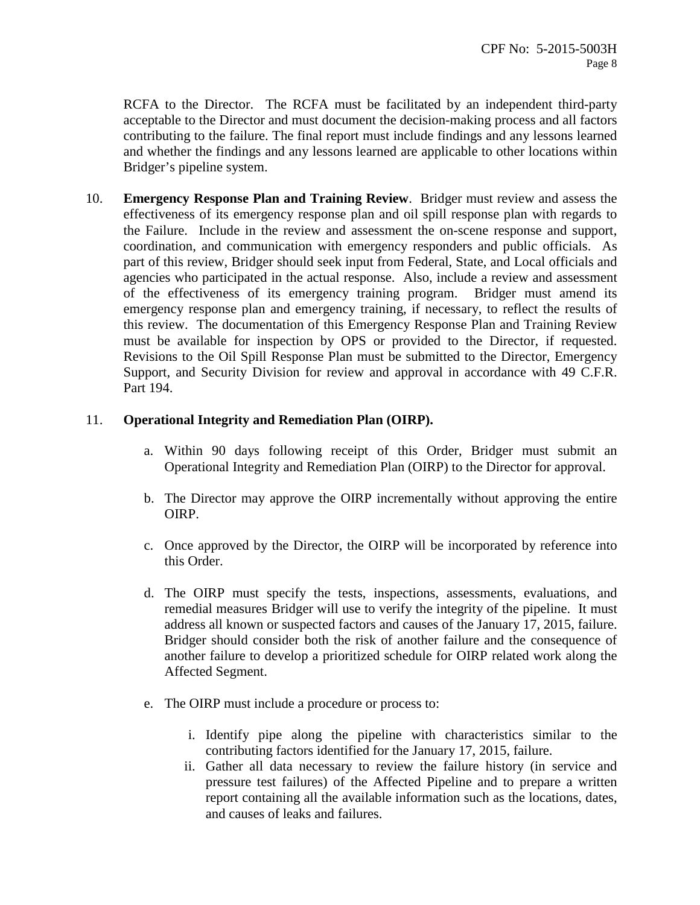RCFA to the Director. The RCFA must be facilitated by an independent third-party acceptable to the Director and must document the decision-making process and all factors contributing to the failure. The final report must include findings and any lessons learned and whether the findings and any lessons learned are applicable to other locations within Bridger's pipeline system.

10. **Emergency Response Plan and Training Review**. Bridger must review and assess the effectiveness of its emergency response plan and oil spill response plan with regards to the Failure. Include in the review and assessment the on-scene response and support, coordination, and communication with emergency responders and public officials. As part of this review, Bridger should seek input from Federal, State, and Local officials and agencies who participated in the actual response. Also, include a review and assessment of the effectiveness of its emergency training program. Bridger must amend its emergency response plan and emergency training, if necessary, to reflect the results of this review. The documentation of this Emergency Response Plan and Training Review must be available for inspection by OPS or provided to the Director, if requested. Revisions to the Oil Spill Response Plan must be submitted to the Director, Emergency Support, and Security Division for review and approval in accordance with 49 C.F.R. Part 194.

### 11. **Operational Integrity and Remediation Plan (OIRP).**

- a. Within 90 days following receipt of this Order, Bridger must submit an Operational Integrity and Remediation Plan (OIRP) to the Director for approval.
- b. The Director may approve the OIRP incrementally without approving the entire OIRP.
- c. Once approved by the Director, the OIRP will be incorporated by reference into this Order.
- d. The OIRP must specify the tests, inspections, assessments, evaluations, and remedial measures Bridger will use to verify the integrity of the pipeline. It must address all known or suspected factors and causes of the January 17, 2015, failure. Bridger should consider both the risk of another failure and the consequence of another failure to develop a prioritized schedule for OIRP related work along the Affected Segment.
- e. The OIRP must include a procedure or process to:
	- i. Identify pipe along the pipeline with characteristics similar to the contributing factors identified for the January 17, 2015, failure.
	- ii. Gather all data necessary to review the failure history (in service and pressure test failures) of the Affected Pipeline and to prepare a written report containing all the available information such as the locations, dates, and causes of leaks and failures.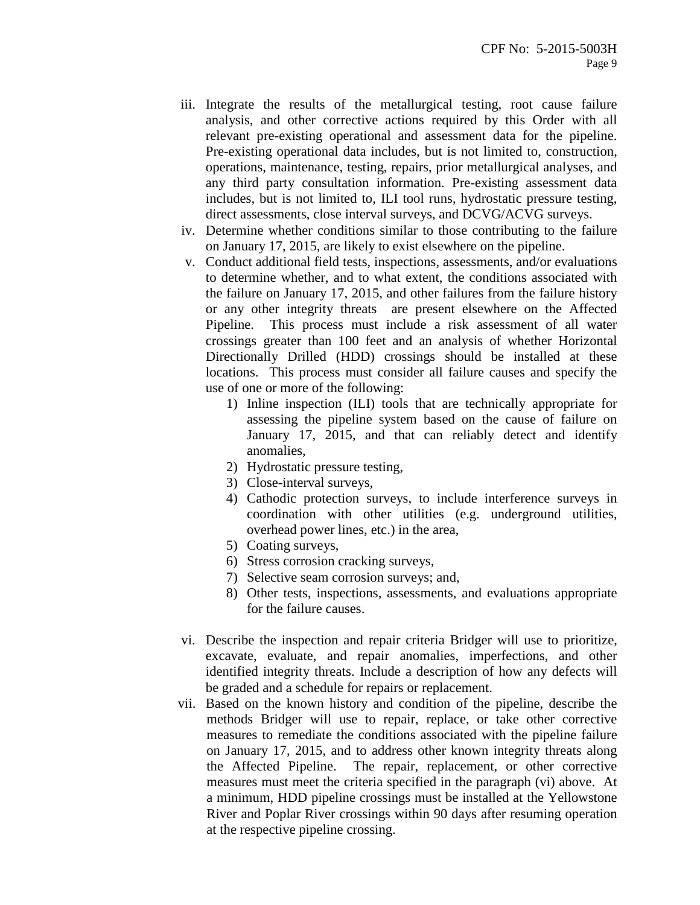- iii. Integrate the results of the metallurgical testing, root cause failure analysis, and other corrective actions required by this Order with all relevant pre-existing operational and assessment data for the pipeline. Pre-existing operational data includes, but is not limited to, construction, operations, maintenance, testing, repairs, prior metallurgical analyses, and any third party consultation information. Pre-existing assessment data includes, but is not limited to, ILI tool runs, hydrostatic pressure testing, direct assessments, close interval surveys, and DCVG/ACVG surveys.
- iv. Determine whether conditions similar to those contributing to the failure on January 17, 2015, are likely to exist elsewhere on the pipeline.
- v. Conduct additional field tests, inspections, assessments, and/or evaluations to determine whether, and to what extent, the conditions associated with the failure on January 17, 2015, and other failures from the failure history or any other integrity threats are present elsewhere on the Affected Pipeline. This process must include a risk assessment of all water crossings greater than 100 feet and an analysis of whether Horizontal Directionally Drilled (HDD) crossings should be installed at these locations. This process must consider all failure causes and specify the use of one or more of the following:
	- 1) Inline inspection (ILI) tools that are technically appropriate for assessing the pipeline system based on the cause of failure on January 17, 2015, and that can reliably detect and identify anomalies,
	- 2) Hydrostatic pressure testing,
	- 3) Close-interval surveys,
	- 4) Cathodic protection surveys, to include interference surveys in coordination with other utilities (e.g. underground utilities, overhead power lines, etc.) in the area,
	- 5) Coating surveys,
	- 6) Stress corrosion cracking surveys,
	- 7) Selective seam corrosion surveys; and,
	- 8) Other tests, inspections, assessments, and evaluations appropriate for the failure causes.
- vi. Describe the inspection and repair criteria Bridger will use to prioritize, excavate, evaluate, and repair anomalies, imperfections, and other identified integrity threats. Include a description of how any defects will be graded and a schedule for repairs or replacement.
- vii. Based on the known history and condition of the pipeline, describe the methods Bridger will use to repair, replace, or take other corrective measures to remediate the conditions associated with the pipeline failure on January 17, 2015, and to address other known integrity threats along the Affected Pipeline. The repair, replacement, or other corrective measures must meet the criteria specified in the paragraph (vi) above. At a minimum, HDD pipeline crossings must be installed at the Yellowstone River and Poplar River crossings within 90 days after resuming operation at the respective pipeline crossing.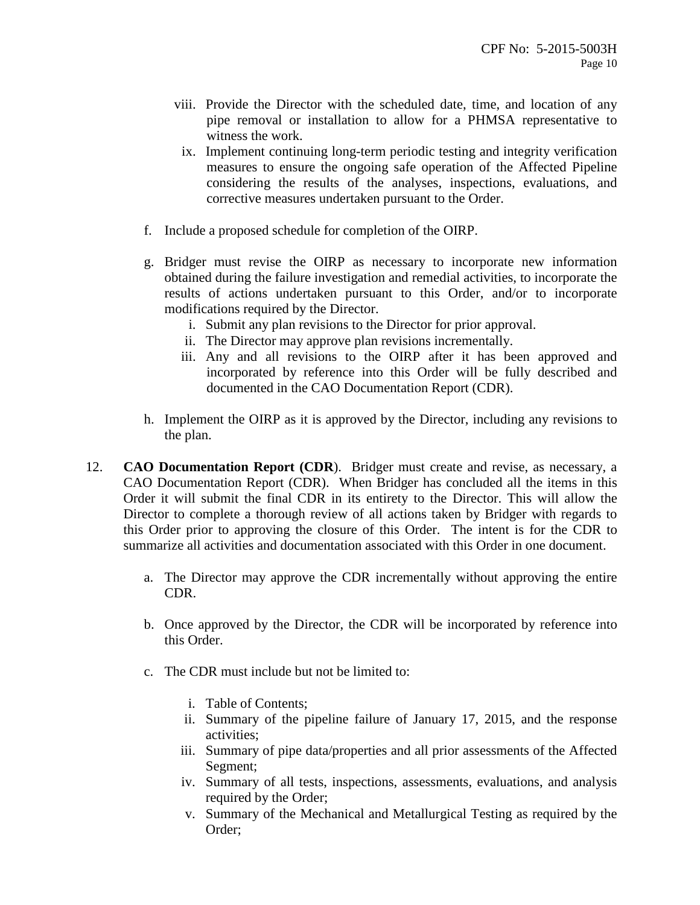- viii. Provide the Director with the scheduled date, time, and location of any pipe removal or installation to allow for a PHMSA representative to witness the work.
	- ix. Implement continuing long-term periodic testing and integrity verification measures to ensure the ongoing safe operation of the Affected Pipeline considering the results of the analyses, inspections, evaluations, and corrective measures undertaken pursuant to the Order.
- f. Include a proposed schedule for completion of the OIRP.
- g. Bridger must revise the OIRP as necessary to incorporate new information obtained during the failure investigation and remedial activities, to incorporate the results of actions undertaken pursuant to this Order, and/or to incorporate modifications required by the Director.
	- i. Submit any plan revisions to the Director for prior approval.
	- ii. The Director may approve plan revisions incrementally.
	- iii. Any and all revisions to the OIRP after it has been approved and incorporated by reference into this Order will be fully described and documented in the CAO Documentation Report (CDR).
- h. Implement the OIRP as it is approved by the Director, including any revisions to the plan.
- 12. **CAO Documentation Report (CDR**). Bridger must create and revise, as necessary, a CAO Documentation Report (CDR). When Bridger has concluded all the items in this Order it will submit the final CDR in its entirety to the Director. This will allow the Director to complete a thorough review of all actions taken by Bridger with regards to this Order prior to approving the closure of this Order. The intent is for the CDR to summarize all activities and documentation associated with this Order in one document.
	- a. The Director may approve the CDR incrementally without approving the entire CDR.
	- b. Once approved by the Director, the CDR will be incorporated by reference into this Order.
	- c. The CDR must include but not be limited to:
		- i. Table of Contents;
		- ii. Summary of the pipeline failure of January 17, 2015, and the response activities;
		- iii. Summary of pipe data/properties and all prior assessments of the Affected Segment;
		- iv. Summary of all tests, inspections, assessments, evaluations, and analysis required by the Order;
		- v. Summary of the Mechanical and Metallurgical Testing as required by the Order;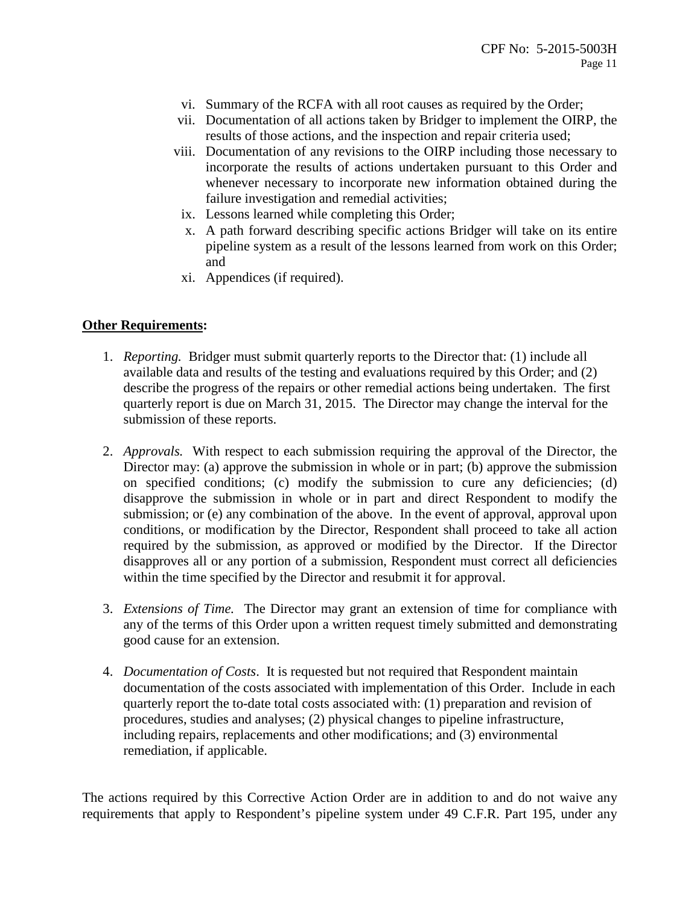- vi. Summary of the RCFA with all root causes as required by the Order;
- vii. Documentation of all actions taken by Bridger to implement the OIRP, the results of those actions, and the inspection and repair criteria used;
- viii. Documentation of any revisions to the OIRP including those necessary to incorporate the results of actions undertaken pursuant to this Order and whenever necessary to incorporate new information obtained during the failure investigation and remedial activities;
- ix. Lessons learned while completing this Order;
- x. A path forward describing specific actions Bridger will take on its entire pipeline system as a result of the lessons learned from work on this Order; and
- xi. Appendices (if required).

### **Other Requirements:**

- 1. *Reporting.* Bridger must submit quarterly reports to the Director that: (1) include all available data and results of the testing and evaluations required by this Order; and (2) describe the progress of the repairs or other remedial actions being undertaken. The first quarterly report is due on March 31, 2015. The Director may change the interval for the submission of these reports.
- 2. *Approvals.* With respect to each submission requiring the approval of the Director, the Director may: (a) approve the submission in whole or in part; (b) approve the submission on specified conditions; (c) modify the submission to cure any deficiencies; (d) disapprove the submission in whole or in part and direct Respondent to modify the submission; or (e) any combination of the above. In the event of approval, approval upon conditions, or modification by the Director, Respondent shall proceed to take all action required by the submission, as approved or modified by the Director. If the Director disapproves all or any portion of a submission, Respondent must correct all deficiencies within the time specified by the Director and resubmit it for approval.
- 3. *Extensions of Time.* The Director may grant an extension of time for compliance with any of the terms of this Order upon a written request timely submitted and demonstrating good cause for an extension.
- 4. *Documentation of Costs*. It is requested but not required that Respondent maintain documentation of the costs associated with implementation of this Order. Include in each quarterly report the to-date total costs associated with: (1) preparation and revision of procedures, studies and analyses; (2) physical changes to pipeline infrastructure, including repairs, replacements and other modifications; and (3) environmental remediation, if applicable.

The actions required by this Corrective Action Order are in addition to and do not waive any requirements that apply to Respondent's pipeline system under 49 C.F.R. Part 195, under any